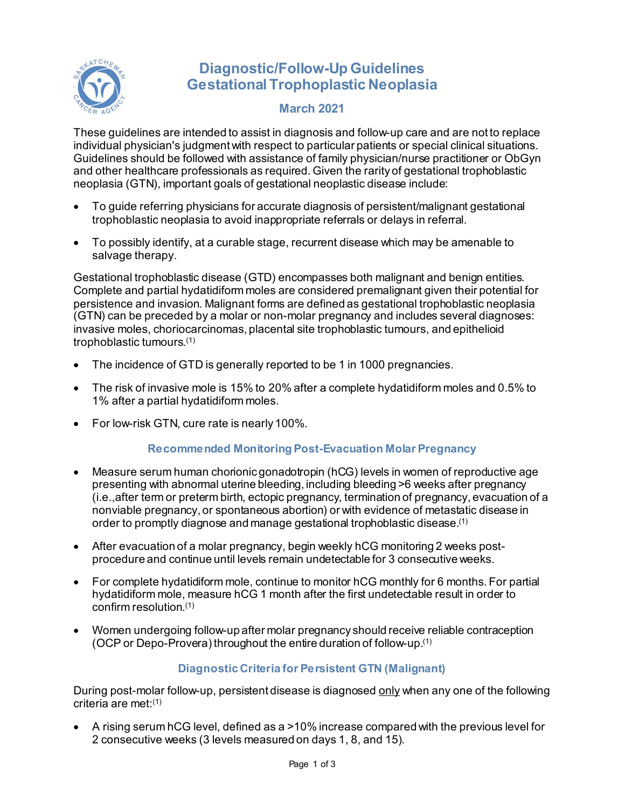

# **Diagnostic/Follow-Up Guidelines Gestational Trophoplastic Neoplasia**

## **March 2021**

These guidelines are intended to assist in diagnosis and follow-up care and are not to replace individual physician's judgment with respect to particular patients or special clinical situations. Guidelines should be followed with assistance of family physician/nurse practitioner or ObGyn and other healthcare professionals as required. Given the rarity of gestational trophoblastic neoplasia (GTN), important goals of gestational neoplastic disease include:

- To guide referring physicians for accurate diagnosis of persistent/malignant gestational trophoblastic neoplasia to avoid inappropriate referrals or delays in referral.
- To possibly identify, at a curable stage, recurrent disease which may be amenable to salvage therapy.

Gestational trophoblastic disease (GTD) encompasses both malignant and benign entities. Complete and partial hydatidiform moles are considered premalignant given their potential for persistence and invasion. Malignant forms are defined as gestational trophoblastic neoplasia (GTN) can be preceded by a molar or non-molar pregnancy and includes several diagnoses: invasive moles, choriocarcinomas, placental site trophoblastic tumours, and epithelioid trophoblastic tumours.(1)

- The incidence of GTD is generally reported to be 1 in 1000 pregnancies.
- The risk of invasive mole is 15% to 20% after a complete hydatidiform moles and 0.5% to 1% after a partial hydatidiform moles.
- For low-risk GTN, cure rate is nearly 100%.

## **Recommended Monitoring Post-Evacuation Molar Pregnancy**

- Measure serum human chorionic gonadotropin (hCG) levels in women of reproductive age presenting with abnormal uterine bleeding, including bleeding >6 weeks after pregnancy (i.e.,after term or preterm birth, ectopic pregnancy, termination of pregnancy, evacuation of a nonviable pregnancy, or spontaneous abortion) or with evidence of metastatic disease in order to promptly diagnose and manage gestational trophoblastic disease.(1)
- After evacuation of a molar pregnancy, begin weekly hCG monitoring 2 weeks postprocedure and continue until levels remain undetectable for 3 consecutive weeks.
- For complete hydatidiform mole, continue to monitor hCG monthly for 6 months. For partial hydatidiform mole, measure hCG 1 month after the first undetectable result in order to confirm resolution.(1)
- Women undergoing follow-up after molar pregnancy should receive reliable contraception (OCP or Depo-Provera) throughout the entire duration of follow-up.<sup>(1)</sup>

## **Diagnostic Criteria for Persistent GTN (Malignant)**

During post-molar follow-up, persistent disease is diagnosed only when any one of the following criteria are met:(1)

• A rising serum hCG level, defined as a >10% increase compared with the previous level for 2 consecutive weeks (3 levels measured on days 1, 8, and 15).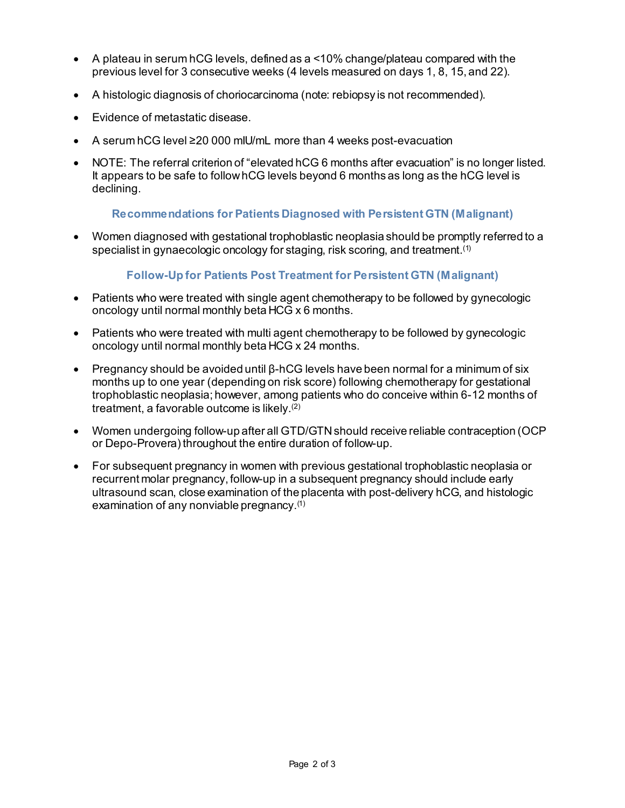- A plateau in serum hCG levels, defined as a <10% change/plateau compared with the previous level for 3 consecutive weeks (4 levels measured on days 1, 8, 15, and 22).
- A histologic diagnosis of choriocarcinoma (note: rebiopsy is not recommended).
- Evidence of metastatic disease.
- A serum hCG level ≥20 000 mIU/mL more than 4 weeks post-evacuation
- NOTE: The referral criterion of "elevated hCG 6 months after evacuation" is no longer listed. It appears to be safe to follow hCG levels beyond 6 months as long as the hCG level is declining.

### **Recommendations for Patients Diagnosed with Persistent GTN (Malignant)**

• Women diagnosed with gestational trophoblastic neoplasia should be promptly referred to a specialist in gynaecologic oncology for staging, risk scoring, and treatment.<sup>(1)</sup>

### **Follow-Up for Patients Post Treatment for Persistent GTN (Malignant)**

- Patients who were treated with single agent chemotherapy to be followed by gynecologic oncology until normal monthly beta HCG x 6 months.
- Patients who were treated with multi agent chemotherapy to be followed by gynecologic oncology until normal monthly beta HCG x 24 months.
- Pregnancy should be avoided until β-hCG levels have been normal for a minimum of six months up to one year (depending on risk score) following chemotherapy for gestational trophoblastic neoplasia; however, among patients who do conceive within 6-12 months of treatment, a favorable outcome is likely. (2)
- Women undergoing follow-up after all GTD/GTN should receive reliable contraception (OCP or Depo-Provera) throughout the entire duration of follow-up.
- For subsequent pregnancy in women with previous gestational trophoblastic neoplasia or recurrent molar pregnancy, follow-up in a subsequent pregnancy should include early ultrasound scan, close examination of the placenta with post-delivery hCG, and histologic examination of any nonviable pregnancy.(1)